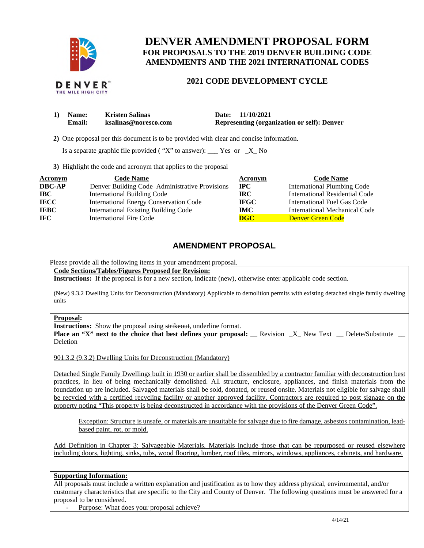

# **DENVER AMENDMENT PROPOSAL FORM FOR PROPOSALS TO THE 2019 DENVER BUILDING CODE AMENDMENTS AND THE 2021 INTERNATIONAL CODES**

### **2021 CODE DEVELOPMENT CYCLE**

| 1) Name:      | <b>Kristen Salinas</b> | Date: 11/10/2021                                   |
|---------------|------------------------|----------------------------------------------------|
| <b>Email:</b> | ksalinas@noresco.com   | <b>Representing (organization or self): Denver</b> |

**2)** One proposal per this document is to be provided with clear and concise information.

Is a separate graphic file provided ("X" to answer):  $\frac{Y}{S}$  Yes or  $\frac{X}{S}$  No

**3)** Highlight the code and acronym that applies to the proposal

| <b>Acronym</b> | <b>Code Name</b>                               | Acronym                   | <b>Code Name</b>                   |
|----------------|------------------------------------------------|---------------------------|------------------------------------|
| <b>DBC-AP</b>  | Denver Building Code–Administrative Provisions | $\bf IPC$                 | <b>International Plumbing Code</b> |
| <b>IBC</b>     | <b>International Building Code</b>             | IRC-                      | International Residential Code     |
| <b>IECC</b>    | <b>International Energy Conservation Code</b>  | <b>IFGC</b>               | International Fuel Gas Code        |
| <b>IEBC</b>    | <b>International Existing Building Code</b>    | IMC .                     | International Mechanical Code      |
| <b>IFC</b>     | International Fire Code                        | $\overline{\textbf{DGC}}$ | Denver Green Code                  |

## **AMENDMENT PROPOSAL**

Please provide all the following items in your amendment proposal.

**Code Sections/Tables/Figures Proposed for Revision:** 

**Instructions:** If the proposal is for a new section, indicate (new), otherwise enter applicable code section.

 (New) 9.3.2 Dwelling Units for Deconstruction (Mandatory) Applicable to demolition permits with existing detached single family dwelling units

### **Proposal:**

Instructions: Show the proposal using strikeout, underline format.

**Place an "X" next to the choice that best defines your proposal: \_\_ Revision \_X\_ New Text \_\_ Delete/Substitute \_\_** Deletion

901.3.2 (9.3.2) Dwelling Units for Deconstruction (Mandatory)

 Detached Single Family Dwellings built in 1930 or earlier shall be dissembled by a contractor familiar with deconstruction best practices, in lieu of being mechanically demolished. All structure, enclosure, appliances, and finish materials from the foundation up are included. Salvaged materials shall be sold, donated, or reused onsite. Materials not eligible for salvage shall be recycled with a certified recycling facility or another approved facility. Contractors are required to post signage on the property noting "This property is being deconstructed in accordance with the provisions of the Denver Green Code".

 Exception: Structure is unsafe, or materials are unsuitable for salvage due to fire damage, asbestos contamination, lead-based paint, rot, or mold.

 Add Definition in Chapter 3: Salvageable Materials. Materials include those that can be repurposed or reused elsewhere including doors, lighting, sinks, tubs, wood flooring, lumber, roof tiles, mirrors, windows, appliances, cabinets, and hardware.

### **Supporting Information:**

 All proposals must include a written explanation and justification as to how they address physical, environmental, and/or customary characteristics that are specific to the City and County of Denver. The following questions must be answered for a proposal to be considered.

- Purpose: What does your proposal achieve?